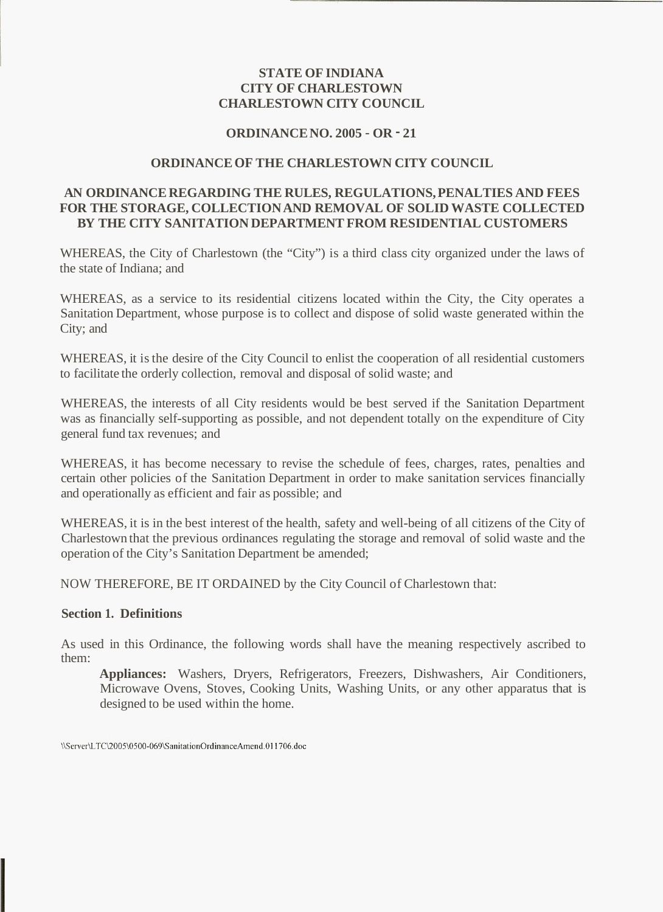# **STATE OF INDIANA CITY OF CHARLESTOWN CHARLESTOWN CITY COUNCIL**

# **ORDINANCE NO. 2005** - **OR** - **21**

# **ORDINANCE OF THE CHARLESTOWN CITY COUNCIL**

# **AN ORDINANCE REGARDING THE RULES, REGULATIONS, PENALTIES AND FEES FOR THE STORAGE, COLLECTION AND REMOVAL OF SOLID WASTE COLLECTED BY THE CITY SANITATION DEPARTMENT FROM RESIDENTIAL CUSTOMERS**

WHEREAS, the City of Charlestown (the "City") is a third class city organized under the laws of the state of Indiana; and

WHEREAS, as a service to its residential citizens located within the City, the City operates a Sanitation Department, whose purpose is to collect and dispose of solid waste generated within the City; and

WHEREAS, it is the desire of the City Council to enlist the cooperation of all residential customers to facilitate the orderly collection, removal and disposal of solid waste; and

WHEREAS, the interests of all City residents would be best served if the Sanitation Department was as financially self-supporting as possible, and not dependent totally on the expenditure of City general fund tax revenues; and

WHEREAS, it has become necessary to revise the schedule of fees, charges, rates, penalties and certain other policies of the Sanitation Department in order to make sanitation services financially and operationally as efficient and fair as possible; and

WHEREAS, it is in the best interest of the health, safety and well-being of all citizens of the City of Charlestown that the previous ordinances regulating the storage and removal of solid waste and the operation of the City's Sanitation Department be amended;

NOW THEREFORE, BE IT ORDAINED by the City Council of Charlestown that:

## **Section 1. Definitions**

As used in this Ordinance, the following words shall have the meaning respectively ascribed to them:

**Appliances:** Washers, Dryers, Refrigerators, Freezers, Dishwashers, Air Conditioners, Microwave Ovens, Stoves, Cooking Units, Washing Units, or any other apparatus that is designed to be used within the home.

\\Server\LTC\2005\0500-069\SanitationOrdinanceAmend.011706.doc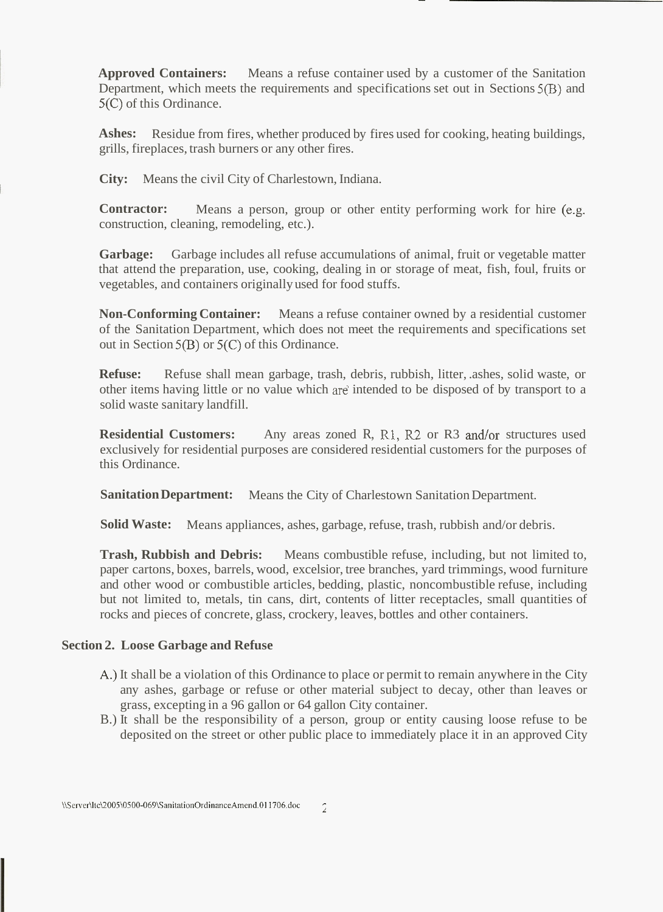**Approved Containers:** Means a refuse container used by a customer of the Sanitation Department, which meets the requirements and specifications set out in Sections 5(B) and 5(C) of this Ordinance.

Ashes: Residue from fires, whether produced by fires used for cooking, heating buildings, grills, fireplaces, trash burners or any other fires.

**City:**  Means the civil City of Charlestown, Indiana.

**Contractor:**  construction, cleaning, remodeling, etc.). Means a person, group or other entity performing work for hire (e.g.

**Garbage:** Garbage includes all refuse accumulations of animal, fruit or vegetable matter that attend the preparation, use, cooking, dealing in or storage of meat, fish, foul, fruits or vegetables, and containers originally used for food stuffs.

**Non-Conforming Container:** Means a refuse container owned by a residential customer of the Sanitation Department, which does not meet the requirements and specifications set out in Section 5(B) or 5(C) of this Ordinance.

**Refuse:** Refuse shall mean garbage, trash, debris, rubbish, litter, .ashes, solid waste, or other items having little or no value which **are** intended to be disposed of by transport to a solid waste sanitary landfill.

**Residential Customers:** Any areas zoned R, R1, R2 or R3 and/or structures used exclusively for residential purposes are considered residential customers for the purposes of this Ordinance.

**Sanitation Department:**  Means the City of Charlestown Sanitation Department.

Solid Waste: Means appliances, ashes, garbage, refuse, trash, rubbish and/or debris.

**Trash, Rubbish and Debris:** Means combustible refuse, including, but not limited to, paper cartons, boxes, barrels, wood, excelsior, tree branches, yard trimmings, wood furniture and other wood or combustible articles, bedding, plastic, noncombustible refuse, including but not limited to, metals, tin cans, dirt, contents of litter receptacles, small quantities of rocks and pieces of concrete, glass, crockery, leaves, bottles and other containers.

## **Section 2. Loose Garbage and Refuse**

- **A,)** It shall be a violation of this Ordinance to place or permit to remain anywhere in the City any ashes, garbage or refuse or other material subject to decay, other than leaves or grass, excepting in a 96 gallon or 64 gallon City container.
- B.) It shall be the responsibility of a person, group or entity causing loose refuse to be deposited on the street or other public place to immediately place it in an approved City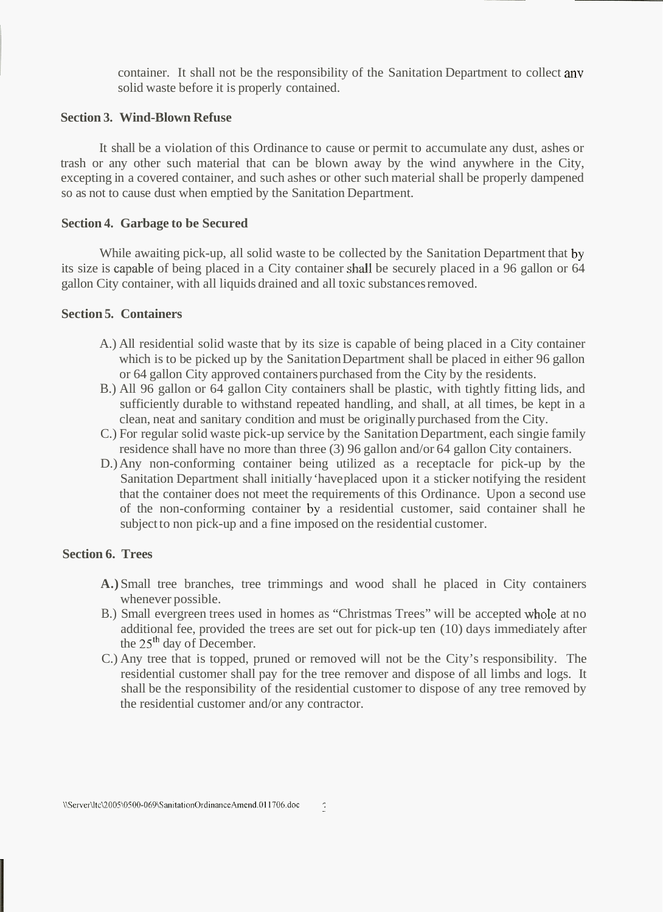container. It shall not be the responsibility of the Sanitation Department to collect any solid waste before it is properly contained.

## **Section 3. Wind-Blown Refuse**

It shall be a violation of this Ordinance to cause or permit to accumulate any dust, ashes or trash or any other such material that can be blown away by the wind anywhere in the City, excepting in a covered container, and such ashes or other such material shall be properly dampened so as not to cause dust when emptied by the Sanitation Department.

### **Section 4. Garbage to be Secured**

While awaiting pick-up, all solid waste to be collected by the Sanitation Department that by its size is capable of being placed in a City container shall be securely placed in a 96 gallon or 64 gallon City container, with all liquids drained and all toxic substances removed.

## **Section 5. Containers**

- A.) All residential solid waste that by its size is capable of being placed in a City container which is to be picked up by the Sanitation Department shall be placed in either 96 gallon or 64 gallon City approved containers purchased from the City by the residents.
- B.) All 96 gallon or 64 gallon City containers shall be plastic, with tightly fitting lids, and sufficiently durable to withstand repeated handling, and shall, at all times, be kept in a clean, neat and sanitary condition and must be originally purchased from the City.
- C.) For regular solid waste pick-up service by the Sanitation Department, each singie family residence shall have no more than three (3) 96 gallon and/or 64 gallon City containers.
- D.) Any non-conforming container being utilized as a receptacle for pick-up by the Sanitation Department shall initially 'have placed upon it a sticker notifying the resident that the container does not meet the requirements of this Ordinance. Upon a second use of the non-conforming container by a residential customer, said container shall he subject to non pick-up and a fine imposed on the residential customer.

#### **Section 6. Trees**

- **A.)** Small tree branches, tree trimmings and wood shall he placed in City containers whenever possible.
- B.) Small evergreen trees used in homes as "Christmas Trees" will be accepted whole at no additional fee, provided the trees are set out for pick-up ten (10) days immediately after the 25'h day of December.
- C.) Any tree that is topped, pruned or removed will not be the City's responsibility. The residential customer shall pay for the tree remover and dispose of all limbs and logs. It shall be the responsibility of the residential customer to dispose of any tree removed by the residential customer and/or any contractor.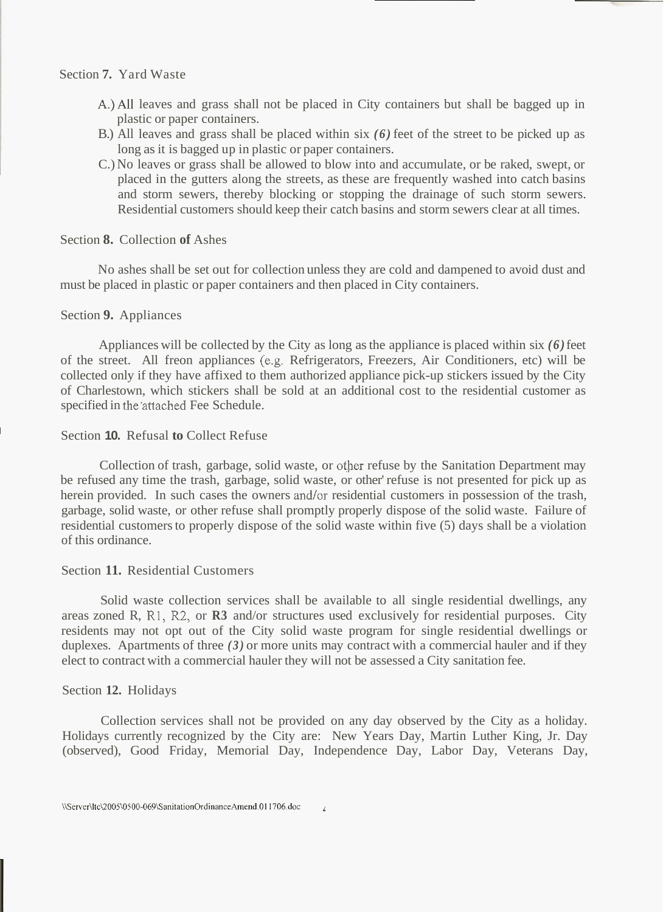## Section **7.** Yard Waste

- A.)All leaves and grass shall not be placed in City containers but shall be bagged up in plastic or paper containers.
- B.) All leaves and grass shall be placed within six *(6)* feet of the street to be picked up as long as it is bagged up in plastic or paper containers.
- C.) No leaves or grass shall be allowed to blow into and accumulate, or be raked, swept, or placed in the gutters along the streets, as these are frequently washed into catch basins and storm sewers, thereby blocking or stopping the drainage of such storm sewers. Residential customers should keep their catch basins and storm sewers clear at all times.

## Section **8.** Collection **of** Ashes

No ashes shall be set out for collection unless they are cold and dampened to avoid dust and must be placed in plastic or paper containers and then placed in City containers.

## Section **9.** Appliances

Appliances will be collected by the City as long as the appliance is placed within six *(6)* feet of the street. All freon appliances (e.g. Refrigerators, Freezers, Air Conditioners, etc) will be collected only if they have affixed to them authorized appliance pick-up stickers issued by the City of Charlestown, which stickers shall be sold at an additional cost to the residential customer as specified in the'attached Fee Schedule.

## **Section 10. Refusal to Collect Refuse**

Collection of trash, garbage, solid waste, or other refuse by the Sanitation Department may be refused any time the trash, garbage, solid waste, or other' refuse is not presented for pick up as herein provided. In such cases the owners and/or residential customers in possession of the trash, garbage, solid waste, or other refuse shall promptly properly dispose of the solid waste. Failure of residential customers to properly dispose of the solid waste within five (5) days shall be a violation of this ordinance.

## Section **11.** Residential Customers

Solid waste collection services shall be available to all single residential dwellings, any areas zoned R, R1, R2, or **R3** and/or structures used exclusively for residential purposes. City residents may not opt out of the City solid waste program for single residential dwellings or duplexes. Apartments of three *(3)* or more units may contract with a commercial hauler and if they elect to contract with a commercial hauler they will not be assessed a City sanitation fee.

## Section **12.** Holidays

Collection services shall not be provided on any day observed by the City as a holiday. Holidays currently recognized by the City are: New Years Day, Martin Luther King, Jr. Day (observed), Good Friday, Memorial Day, Independence Day, Labor Day, Veterans Day,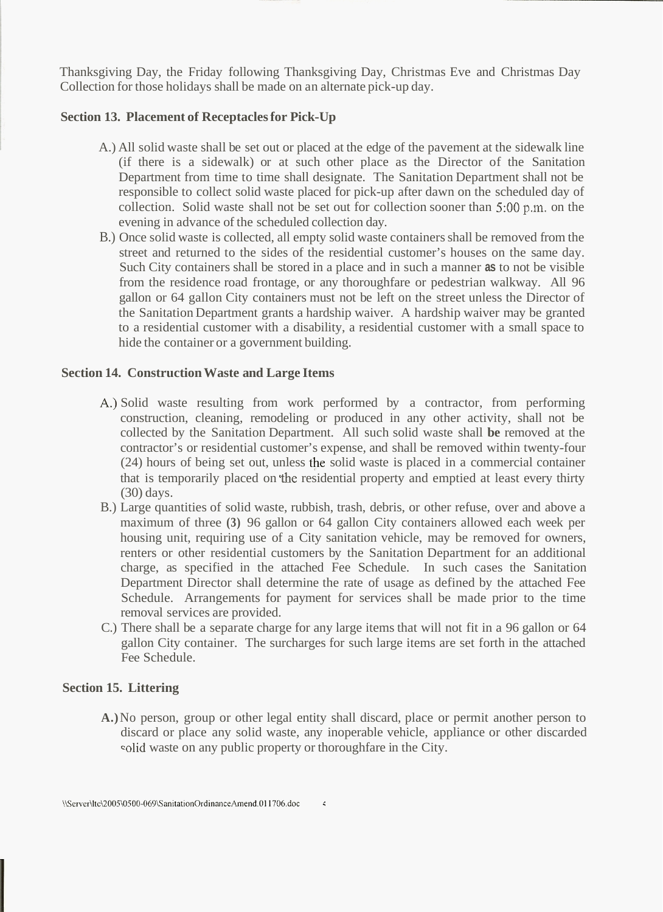Thanksgiving Day, the Friday following Thanksgiving Day, Christmas Eve and Christmas Day Collection for those holidays shall be made on an alternate pick-up day.

# **Section 13. Placement of Receptacles for Pick-Up**

- A.) All solid waste shall be set out or placed at the edge of the pavement at the sidewalk line (if there is a sidewalk) or at such other place as the Director of the Sanitation Department from time to time shall designate. The Sanitation Department shall not be responsible to collect solid waste placed for pick-up after dawn on the scheduled day of collection. Solid waste shall not be set out for collection sooner than 5:OO p.m. on the evening in advance of the scheduled collection day.
- B.) Once solid waste is collected, all empty solid waste containers shall be removed from the street and returned to the sides of the residential customer's houses on the same day. Such City containers shall be stored in a place and in such a manner **as** to not be visible from the residence road frontage, or any thoroughfare or pedestrian walkway. All 96 gallon or 64 gallon City containers must not be left on the street unless the Director of the Sanitation Department grants a hardship waiver. A hardship waiver may be granted to a residential customer with a disability, a residential customer with a small space to hide the container or a government building.

# **Section 14. Construction Waste and Large Items**

- A,) Solid waste resulting from work performed by a contractor, from performing construction, cleaning, remodeling or produced in any other activity, shall not be collected by the Sanitation Department. All such solid waste shall **be** removed at the contractor's or residential customer's expense, and shall be removed within twenty-four  $(24)$  hours of being set out, unless the solid waste is placed in a commercial container that is temporarily placed on 'the residential property and emptied at least every thirty (30) days.
- B.) Large quantities of solid waste, rubbish, trash, debris, or other refuse, over and above a maximum of three **(3)** 96 gallon or 64 gallon City containers allowed each week per housing unit, requiring use of a City sanitation vehicle, may be removed for owners, renters or other residential customers by the Sanitation Department for an additional charge, as specified in the attached Fee Schedule. In such cases the Sanitation Department Director shall determine the rate of usage as defined by the attached Fee Schedule. Arrangements for payment for services shall be made prior to the time removal services are provided.
- C.) There shall be a separate charge for any large items that will not fit in a 96 gallon or 64 gallon City container. The surcharges for such large items are set forth in the attached Fee Schedule.

## **Section 15. Littering**

**A.)** No person, group or other legal entity shall discard, place or permit another person to discard or place any solid waste, any inoperable vehicle, appliance or other discarded solid waste on any public property or thoroughfare in the City.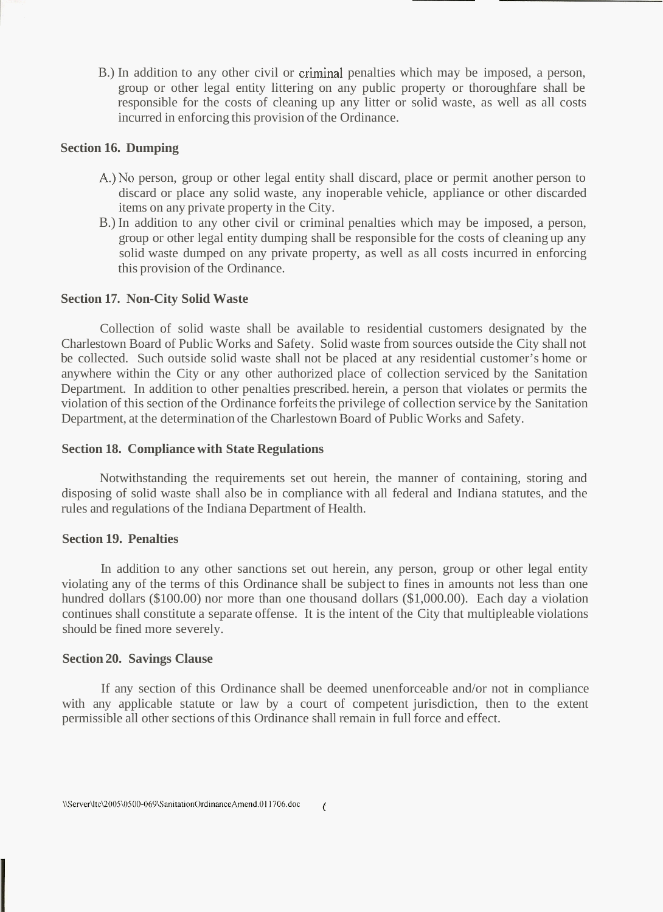B.) In addition to any other civil or criminal penalties which may be imposed, a person, group or other legal entity littering on any public property or thoroughfare shall be responsible for the costs of cleaning up any litter or solid waste, as well as all costs incurred in enforcing this provision of the Ordinance.

# **Section 16. Dumping**

- A.)No person, group or other legal entity shall discard, place or permit another person to discard or place any solid waste, any inoperable vehicle, appliance or other discarded items on any private property in the City.
- B.) In addition to any other civil or criminal penalties which may be imposed, a person, group or other legal entity dumping shall be responsible for the costs of cleaning up any solid waste dumped on any private property, as well as all costs incurred in enforcing this provision of the Ordinance.

#### **Section 17. Non-City Solid Waste**

Collection of solid waste shall be available to residential customers designated by the Charlestown Board of Public Works and Safety. Solid waste from sources outside the City shall not be collected. Such outside solid waste shall not be placed at any residential customer's home or anywhere within the City or any other authorized place of collection serviced by the Sanitation Department. In addition to other penalties prescribed. herein, a person that violates or permits the violation of this section of the Ordinance forfeits the privilege of collection service by the Sanitation Department, at the determination of the Charlestown Board of Public Works and Safety.

#### **Section 18. Compliance with State Regulations**

Notwithstanding the requirements set out herein, the manner of containing, storing and disposing of solid waste shall also be in compliance with all federal and Indiana statutes, and the rules and regulations of the Indiana Department of Health.

## **Section 19. Penalties**

In addition to any other sanctions set out herein, any person, group or other legal entity violating any of the terms of this Ordinance shall be subject to fines in amounts not less than one hundred dollars (\$100.00) nor more than one thousand dollars (\$1,000.00). Each day a violation continues shall constitute a separate offense. It is the intent of the City that multipleable violations should be fined more severely.

#### **Section 20. Savings Clause**

If any section of this Ordinance shall be deemed unenforceable and/or not in compliance with any applicable statute or law by a court of competent jurisdiction, then to the extent permissible all other sections of this Ordinance shall remain in full force and effect.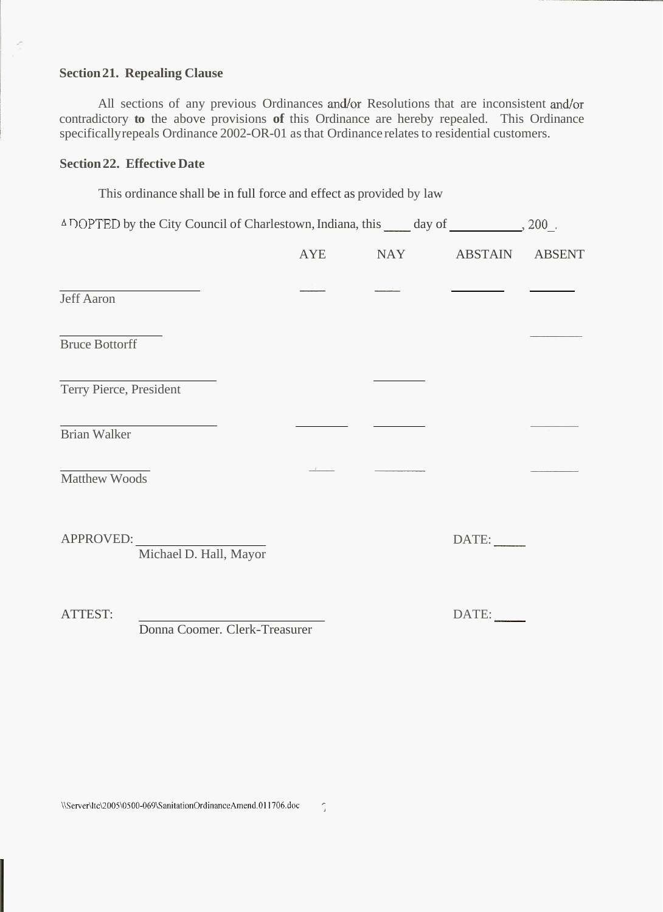## **Section 21. Repealing Clause**

 $\mathcal{L}$ 

All sections of any previous Ordinances and/or Resolutions that are inconsistent and/or contradictory **to** the above provisions of this Ordinance are hereby repealed. This Ordinance specifically repeals Ordinance 2002-OR-01 as that Ordinance relates to residential customers.

# **Section 22. Effective Date**

This ordinance shall be in full force and effect as provided by law

| <sup>△ T</sup> OPTED by the City Council of Charlestown, Indiana, this _____ day of ___________, 200_. |                                     |     |            |                |  |
|--------------------------------------------------------------------------------------------------------|-------------------------------------|-----|------------|----------------|--|
|                                                                                                        |                                     | AYE | <b>NAY</b> | ABSTAIN ABSENT |  |
| Jeff Aaron                                                                                             |                                     |     |            |                |  |
| <b>Bruce Bottorff</b>                                                                                  |                                     |     |            |                |  |
| Terry Pierce, President                                                                                |                                     |     |            |                |  |
| <b>Brian Walker</b>                                                                                    |                                     |     |            |                |  |
| <b>Matthew Woods</b>                                                                                   |                                     |     |            |                |  |
|                                                                                                        | APPROVED:<br>Michael D. Hall, Mayor |     |            | DATE:          |  |
| ATTEST:                                                                                                | Donna Coomer. Clerk-Treasurer       |     |            | DATE:          |  |

\\Server\ltc\2005\0500-069\SanitationOrdinanceAmend.011706.doc <sup>7</sup>